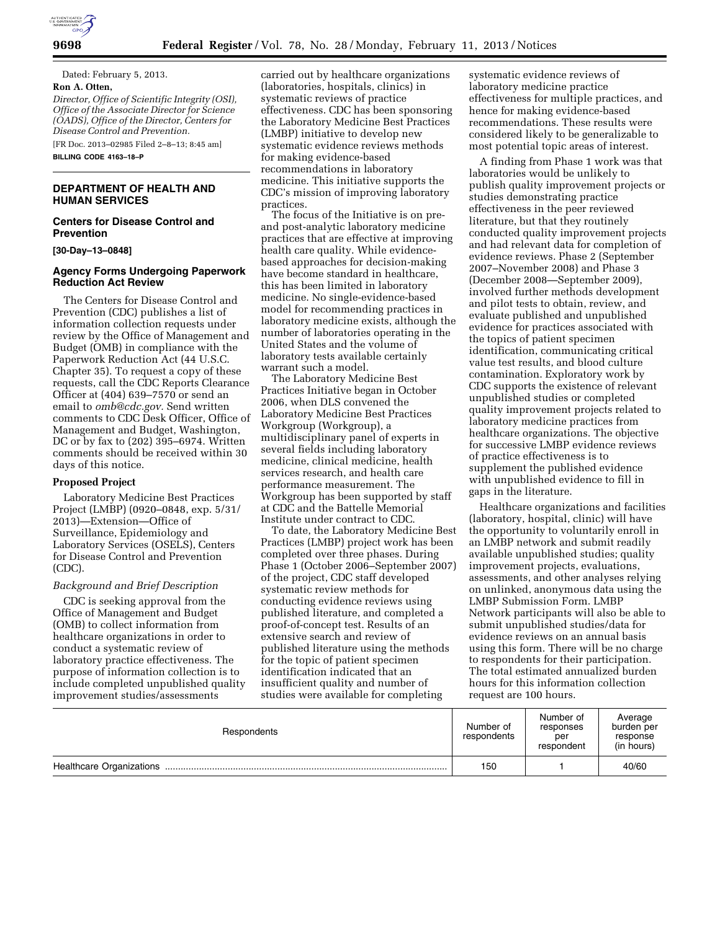

Dated: February 5, 2013. **Ron A. Otten,** 

*Director, Office of Scientific Integrity (OSI), Office of the Associate Director for Science (OADS), Office of the Director, Centers for Disease Control and Prevention.* 

[FR Doc. 2013–02985 Filed 2–8–13; 8:45 am] **BILLING CODE 4163–18–P** 

# **DEPARTMENT OF HEALTH AND HUMAN SERVICES**

## **Centers for Disease Control and Prevention**

#### **[30-Day–13–0848]**

## **Agency Forms Undergoing Paperwork Reduction Act Review**

The Centers for Disease Control and Prevention (CDC) publishes a list of information collection requests under review by the Office of Management and Budget (OMB) in compliance with the Paperwork Reduction Act (44 U.S.C. Chapter 35). To request a copy of these requests, call the CDC Reports Clearance Officer at (404) 639–7570 or send an email to *[omb@cdc.gov.](mailto:omb@cdc.gov)* Send written comments to CDC Desk Officer, Office of Management and Budget, Washington, DC or by fax to (202) 395–6974. Written comments should be received within 30 days of this notice.

#### **Proposed Project**

Laboratory Medicine Best Practices Project (LMBP) (0920–0848, exp. 5/31/ 2013)—Extension—Office of Surveillance, Epidemiology and Laboratory Services (OSELS), Centers for Disease Control and Prevention (CDC).

#### *Background and Brief Description*

CDC is seeking approval from the Office of Management and Budget (OMB) to collect information from healthcare organizations in order to conduct a systematic review of laboratory practice effectiveness. The purpose of information collection is to include completed unpublished quality improvement studies/assessments

carried out by healthcare organizations (laboratories, hospitals, clinics) in systematic reviews of practice effectiveness. CDC has been sponsoring the Laboratory Medicine Best Practices (LMBP) initiative to develop new systematic evidence reviews methods for making evidence-based recommendations in laboratory medicine. This initiative supports the CDC's mission of improving laboratory practices.

The focus of the Initiative is on preand post-analytic laboratory medicine practices that are effective at improving health care quality. While evidencebased approaches for decision-making have become standard in healthcare, this has been limited in laboratory medicine. No single-evidence-based model for recommending practices in laboratory medicine exists, although the number of laboratories operating in the United States and the volume of laboratory tests available certainly warrant such a model.

The Laboratory Medicine Best Practices Initiative began in October 2006, when DLS convened the Laboratory Medicine Best Practices Workgroup (Workgroup), a multidisciplinary panel of experts in several fields including laboratory medicine, clinical medicine, health services research, and health care performance measurement. The Workgroup has been supported by staff at CDC and the Battelle Memorial Institute under contract to CDC.

To date, the Laboratory Medicine Best Practices (LMBP) project work has been completed over three phases. During Phase 1 (October 2006–September 2007) of the project, CDC staff developed systematic review methods for conducting evidence reviews using published literature, and completed a proof-of-concept test. Results of an extensive search and review of published literature using the methods for the topic of patient specimen identification indicated that an insufficient quality and number of studies were available for completing

systematic evidence reviews of laboratory medicine practice effectiveness for multiple practices, and hence for making evidence-based recommendations. These results were considered likely to be generalizable to most potential topic areas of interest.

A finding from Phase 1 work was that laboratories would be unlikely to publish quality improvement projects or studies demonstrating practice effectiveness in the peer reviewed literature, but that they routinely conducted quality improvement projects and had relevant data for completion of evidence reviews. Phase 2 (September 2007–November 2008) and Phase 3 (December 2008—September 2009), involved further methods development and pilot tests to obtain, review, and evaluate published and unpublished evidence for practices associated with the topics of patient specimen identification, communicating critical value test results, and blood culture contamination. Exploratory work by CDC supports the existence of relevant unpublished studies or completed quality improvement projects related to laboratory medicine practices from healthcare organizations. The objective for successive LMBP evidence reviews of practice effectiveness is to supplement the published evidence with unpublished evidence to fill in gaps in the literature.

Healthcare organizations and facilities (laboratory, hospital, clinic) will have the opportunity to voluntarily enroll in an LMBP network and submit readily available unpublished studies; quality improvement projects, evaluations, assessments, and other analyses relying on unlinked, anonymous data using the LMBP Submission Form. LMBP Network participants will also be able to submit unpublished studies/data for evidence reviews on an annual basis using this form. There will be no charge to respondents for their participation. The total estimated annualized burden hours for this information collection request are 100 hours.

| Respondents                     | Number of<br>respondents | Number of<br>responses<br>per<br>respondent | Average<br>burden per<br>response<br>(in hours) |
|---------------------------------|--------------------------|---------------------------------------------|-------------------------------------------------|
| <b>Healthcare Organizations</b> | 150                      |                                             | 40/60                                           |